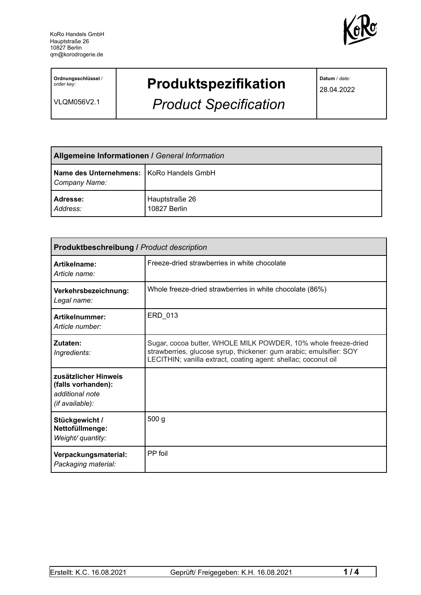

**Ordnungsschlüssel** / *order key:*

VLQM056V2.1

## **Produktspezifikation**

*Product Specification*

**Datum** / *date:*

28.04.2022

| Allgemeine Informationen / General Information            |                                |  |
|-----------------------------------------------------------|--------------------------------|--|
| Name des Unternehmens: KoRo Handels GmbH<br>Company Name: |                                |  |
| Adresse:<br>Address:                                      | Hauptstraße 26<br>10827 Berlin |  |

| <b>Produktbeschreibung / Product description</b>                                 |                                                                                                                                                                                                         |  |
|----------------------------------------------------------------------------------|---------------------------------------------------------------------------------------------------------------------------------------------------------------------------------------------------------|--|
| Artikelname:<br>Article name:                                                    | Freeze-dried strawberries in white chocolate                                                                                                                                                            |  |
| Verkehrsbezeichnung:<br>Legal name:                                              | Whole freeze-dried strawberries in white chocolate (86%)                                                                                                                                                |  |
| Artikelnummer:<br>Article number:                                                | ERD 013                                                                                                                                                                                                 |  |
| Zutaten:<br>Ingredients:                                                         | Sugar, cocoa butter, WHOLE MILK POWDER, 10% whole freeze-dried<br>strawberries, glucose syrup, thickener: gum arabic; emulsifier: SOY<br>LECITHIN; vanilla extract, coating agent: shellac; coconut oil |  |
| zusätzlicher Hinweis<br>(falls vorhanden):<br>additional note<br>(if available): |                                                                                                                                                                                                         |  |
| Stückgewicht /<br>Nettofüllmenge:<br>Weight/ quantity:                           | 500 <sub>g</sub>                                                                                                                                                                                        |  |
| Verpackungsmaterial:<br>Packaging material:                                      | PP foil                                                                                                                                                                                                 |  |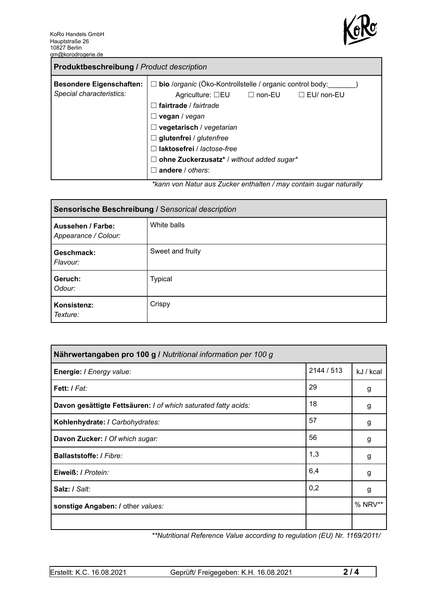

| <b>Produktbeschreibung / Product description</b>            |                                                                                                                                                                                                                                                                                                                                                                 |  |  |
|-------------------------------------------------------------|-----------------------------------------------------------------------------------------------------------------------------------------------------------------------------------------------------------------------------------------------------------------------------------------------------------------------------------------------------------------|--|--|
| <b>Besondere Eigenschaften:</b><br>Special characteristics: | $\Box$ bio /organic (Öko-Kontrollstelle / organic control body:<br>Agriculture: $\square$ EU $\square$ non-EU<br>$\Box$ EU/ non-EU<br>fairtrade / fairtrade<br>vegan / vegan<br>ப<br>$\Box$ vegetarisch / vegetarian<br>$\Box$ glutenfrei / glutenfree<br>laktosefrei / lactose-free<br>ohne Zuckerzusatz* / without added sugar*<br>$\Box$<br>andere / others: |  |  |
|                                                             | ticana yan Natur aya Zuaker anthaltan (may cantain ayaar naturally                                                                                                                                                                                                                                                                                              |  |  |

*\*kann von Natur aus Zucker enthalten / may contain sugar naturally*

| Sensorische Beschreibung / Sensorical description |                  |  |
|---------------------------------------------------|------------------|--|
| Aussehen / Farbe:<br>Appearance / Colour:         | White balls      |  |
| Geschmack:<br>Flavour:                            | Sweet and fruity |  |
| Geruch:<br>Odour:                                 | <b>Typical</b>   |  |
| Konsistenz:<br>Texture:                           | Crispy           |  |

| Nährwertangaben pro 100 g / Nutritional information per 100 g  |            |           |
|----------------------------------------------------------------|------------|-----------|
| Energie: I Energy value:                                       | 2144 / 513 | kJ / kcal |
| Fett: / Fat:                                                   | 29         | g         |
| Davon gesättigte Fettsäuren: I of which saturated fatty acids: | 18         | g         |
| Kohlenhydrate: I Carbohydrates:                                | 57         | g         |
| Davon Zucker: I Of which sugar:                                | 56         | g         |
| Ballaststoffe: / Fibre:                                        | 1,3        | g         |
| Eiweiß: / Protein:                                             | 6,4        | g         |
| Salz: / Salt:                                                  | 0,2        | g         |
| sonstige Angaben: / other values:                              |            | % NRV**   |
|                                                                |            |           |

*\*\*Nutritional Reference Value according to regulation (EU) Nr. 1169/2011/*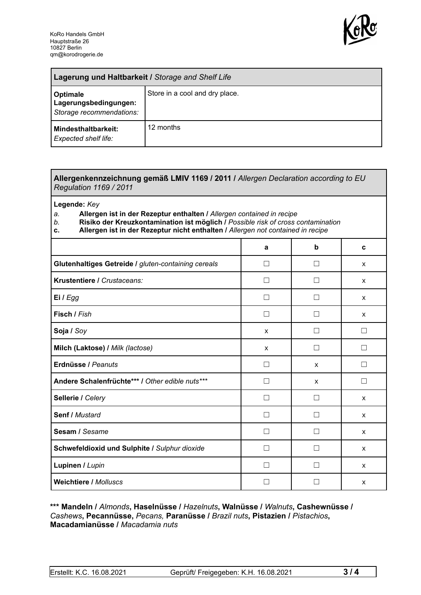

| Lagerung und Haltbarkeit / Storage and Shelf Life                    |                                |  |
|----------------------------------------------------------------------|--------------------------------|--|
| <b>Optimale</b><br>Lagerungsbedingungen:<br>Storage recommendations: | Store in a cool and dry place. |  |
| Mindesthaltbarkeit:<br><b>Expected shelf life:</b>                   | 12 months                      |  |

## **Allergenkennzeichnung gemäß LMIV 1169 / 2011 /** *Allergen Declaration according to EU Regulation 1169 / 2011*

**Legende:** *Key*

*a.* **Allergen ist in der Rezeptur enthalten /** *Allergen contained in recipe*

- *b.* **Risiko der Kreuzkontamination ist möglich /** *Possible risk of cross contamination*
- **c. Allergen ist in der Rezeptur nicht enthalten /** *Allergen not contained in recipe*

|                                                     | a              | b             | C |
|-----------------------------------------------------|----------------|---------------|---|
| Glutenhaltiges Getreide / gluten-containing cereals | П              | $\mathcal{L}$ | X |
| Krustentiere / Crustaceans:                         | - 1            |               | X |
| Ei / Egg                                            |                |               | X |
| Fisch / Fish                                        |                |               | X |
| Soja / Soy                                          | X              |               | П |
| Milch (Laktose) / Milk (lactose)                    | X              |               | П |
| Erdnüsse / Peanuts                                  | П              | $\mathsf{x}$  | П |
| Andere Schalenfrüchte*** / Other edible nuts***     | П              | X             | П |
| Sellerie / Celery                                   | $\blacksquare$ | $\mathsf{L}$  | X |
| Senf / Mustard                                      | $\perp$        | П             | X |
| Sesam / Sesame                                      | - 1            |               | X |
| Schwefeldioxid und Sulphite / Sulphur dioxide       |                |               | X |
| Lupinen / Lupin                                     |                |               | X |
| <b>Weichtiere / Molluscs</b>                        |                |               | X |

## **\*\*\* Mandeln /** *Almonds***, Haselnüsse /** *Hazelnuts***, Walnüsse /** *Walnuts***, Cashewnüsse /** *Cashews***, Pecannüsse,** *Pecans,* **Paranüsse /** *Brazil nuts***, Pistazien /** *Pistachios***, Macadamianüsse /** *Macadamia nuts*